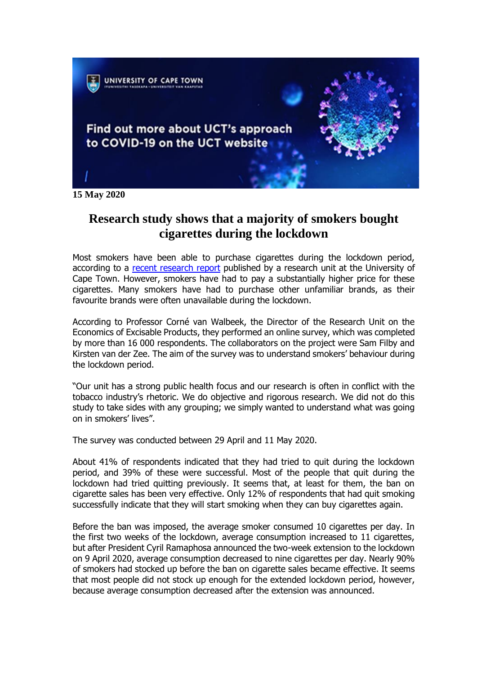

**15 May 2020**

# **Research study shows that a majority of smokers bought cigarettes during the lockdown**

Most smokers have been able to purchase cigarettes during the lockdown period, according to a [recent research report](https://protect-za.mimecast.com/s/ulziC58w5LUoA7P0FzEfbd) published by a research unit at the University of Cape Town. However, smokers have had to pay a substantially higher price for these cigarettes. Many smokers have had to purchase other unfamiliar brands, as their favourite brands were often unavailable during the lockdown.

According to Professor Corné van Walbeek, the Director of the Research Unit on the Economics of Excisable Products, they performed an online survey, which was completed by more than 16 000 respondents. The collaborators on the project were Sam Filby and Kirsten van der Zee. The aim of the survey was to understand smokers' behaviour during the lockdown period.

"Our unit has a strong public health focus and our research is often in conflict with the tobacco industry's rhetoric. We do objective and rigorous research. We did not do this study to take sides with any grouping; we simply wanted to understand what was going on in smokers' lives".

The survey was conducted between 29 April and 11 May 2020.

About 41% of respondents indicated that they had tried to quit during the lockdown period, and 39% of these were successful. Most of the people that quit during the lockdown had tried quitting previously. It seems that, at least for them, the ban on cigarette sales has been very effective. Only 12% of respondents that had quit smoking successfully indicate that they will start smoking when they can buy cigarettes again.

Before the ban was imposed, the average smoker consumed 10 cigarettes per day. In the first two weeks of the lockdown, average consumption increased to 11 cigarettes, but after President Cyril Ramaphosa announced the two-week extension to the lockdown on 9 April 2020, average consumption decreased to nine cigarettes per day. Nearly 90% of smokers had stocked up before the ban on cigarette sales became effective. It seems that most people did not stock up enough for the extended lockdown period, however, because average consumption decreased after the extension was announced.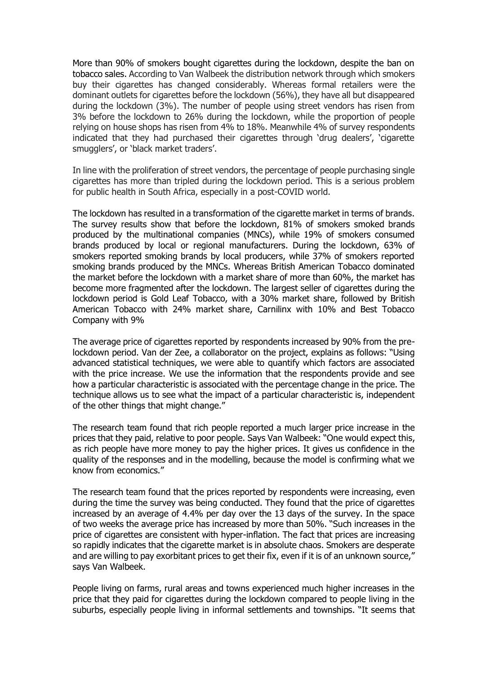More than 90% of smokers bought cigarettes during the lockdown, despite the ban on tobacco sales. According to Van Walbeek the distribution network through which smokers buy their cigarettes has changed considerably. Whereas formal retailers were the dominant outlets for cigarettes before the lockdown (56%), they have all but disappeared during the lockdown (3%). The number of people using street vendors has risen from 3% before the lockdown to 26% during the lockdown, while the proportion of people relying on house shops has risen from 4% to 18%. Meanwhile 4% of survey respondents indicated that they had purchased their cigarettes through 'drug dealers', 'cigarette smugglers', or 'black market traders'.

In line with the proliferation of street vendors, the percentage of people purchasing single cigarettes has more than tripled during the lockdown period. This is a serious problem for public health in South Africa, especially in a post-COVID world.

The lockdown has resulted in a transformation of the cigarette market in terms of brands. The survey results show that before the lockdown, 81% of smokers smoked brands produced by the multinational companies (MNCs), while 19% of smokers consumed brands produced by local or regional manufacturers. During the lockdown, 63% of smokers reported smoking brands by local producers, while 37% of smokers reported smoking brands produced by the MNCs. Whereas British American Tobacco dominated the market before the lockdown with a market share of more than 60%, the market has become more fragmented after the lockdown. The largest seller of cigarettes during the lockdown period is Gold Leaf Tobacco, with a 30% market share, followed by British American Tobacco with 24% market share, Carnilinx with 10% and Best Tobacco Company with 9%

The average price of cigarettes reported by respondents increased by 90% from the prelockdown period. Van der Zee, a collaborator on the project, explains as follows: "Using advanced statistical techniques, we were able to quantify which factors are associated with the price increase. We use the information that the respondents provide and see how a particular characteristic is associated with the percentage change in the price. The technique allows us to see what the impact of a particular characteristic is, independent of the other things that might change."

The research team found that rich people reported a much larger price increase in the prices that they paid, relative to poor people. Says Van Walbeek: "One would expect this, as rich people have more money to pay the higher prices. It gives us confidence in the quality of the responses and in the modelling, because the model is confirming what we know from economics."

The research team found that the prices reported by respondents were increasing, even during the time the survey was being conducted. They found that the price of cigarettes increased by an average of 4.4% per day over the 13 days of the survey. In the space of two weeks the average price has increased by more than 50%. "Such increases in the price of cigarettes are consistent with hyper-inflation. The fact that prices are increasing so rapidly indicates that the cigarette market is in absolute chaos. Smokers are desperate and are willing to pay exorbitant prices to get their fix, even if it is of an unknown source," says Van Walbeek.

People living on farms, rural areas and towns experienced much higher increases in the price that they paid for cigarettes during the lockdown compared to people living in the suburbs, especially people living in informal settlements and townships. "It seems that